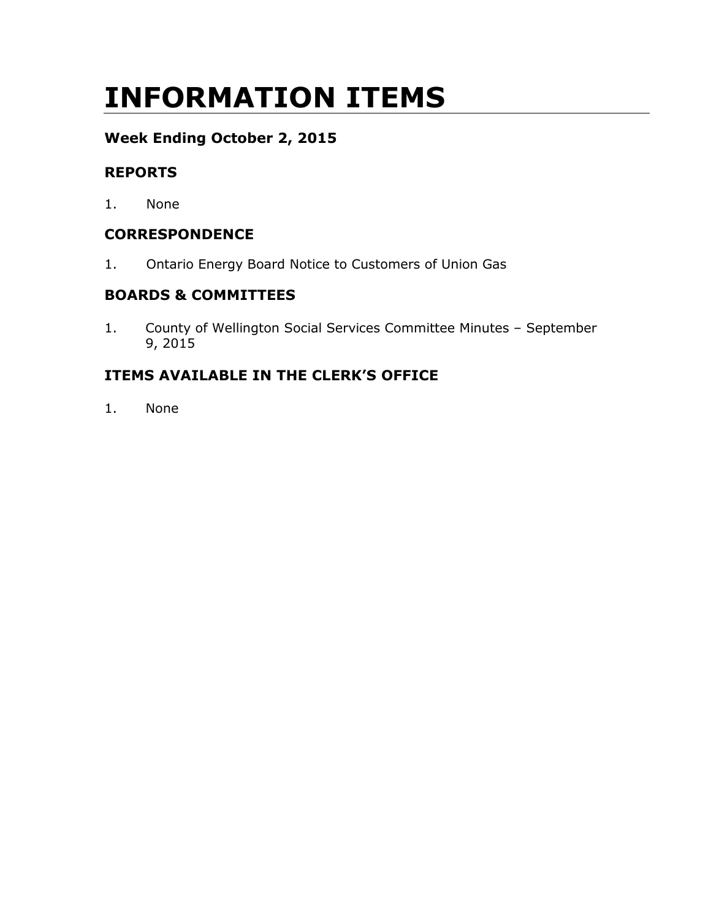# INFORMATION ITEMS

# Week Ending October 2, 2015

# REPORTS

1. None

# **CORRESPONDENCE**

1. Ontario Energy Board Notice to Customers of Union Gas

# BOARDS & COMMITTEES

1. County of Wellington Social Services Committee Minutes – September 9, 2015

# ITEMS AVAILABLE IN THE CLERK'S OFFICE

1. None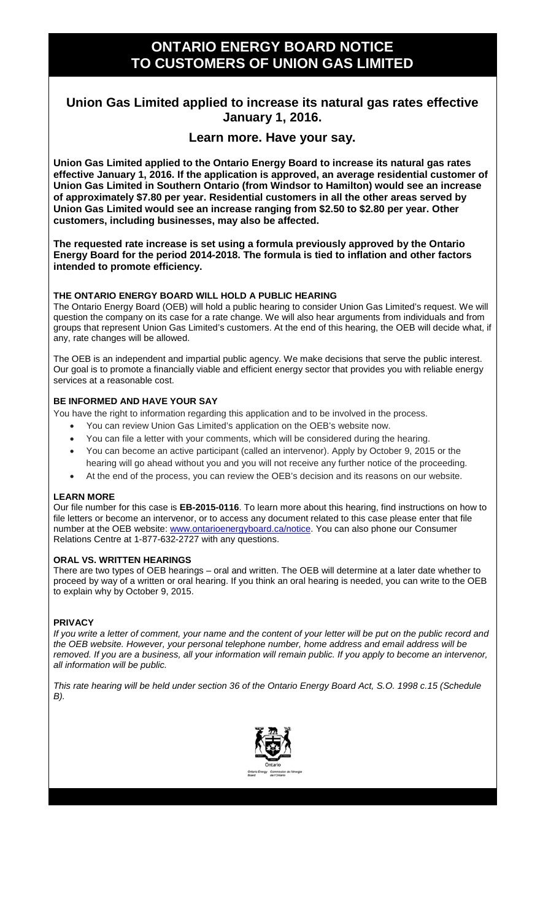# **ONTARIO ENERGY BOARD NOTICE TO CUSTOMERS OF UNION GAS LIMITED**

# **Union Gas Limited applied to increase its natural gas rates effective January 1, 2016.**

### **Learn more. Have your say.**

**Union Gas Limited applied to the Ontario Energy Board to increase its natural gas rates effective January 1, 2016. If the application is approved, an average residential customer of Union Gas Limited in Southern Ontario (from Windsor to Hamilton) would see an increase of approximately \$7.80 per year. Residential customers in all the other areas served by Union Gas Limited would see an increase ranging from \$2.50 to \$2.80 per year. Other customers, including businesses, may also be affected.**

**The requested rate increase is set using a formula previously approved by the Ontario Energy Board for the period 2014-2018. The formula is tied to inflation and other factors intended to promote efficiency.**

#### **THE ONTARIO ENERGY BOARD WILL HOLD A PUBLIC HEARING**

The Ontario Energy Board (OEB) will hold a public hearing to consider Union Gas Limited's request. We will question the company on its case for a rate change. We will also hear arguments from individuals and from groups that represent Union Gas Limited's customers. At the end of this hearing, the OEB will decide what, if any, rate changes will be allowed.

The OEB is an independent and impartial public agency. We make decisions that serve the public interest. Our goal is to promote a financially viable and efficient energy sector that provides you with reliable energy services at a reasonable cost.

#### **BE INFORMED AND HAVE YOUR SAY**

You have the right to information regarding this application and to be involved in the process.

- You can review Union Gas Limited's application on the OEB's website now.
- You can file a letter with your comments, which will be considered during the hearing.
- You can become an active participant (called an intervenor). Apply by October 9, 2015 or the
- hearing will go ahead without you and you will not receive any further notice of the proceeding. • At the end of the process, you can review the OEB's decision and its reasons on our website.

#### **LEARN MORE**

Our file number for this case is **EB-2015-0116**. To learn more about this hearing, find instructions on how to file letters or become an intervenor, or to access any document related to this case please enter that file number at the OEB website: [www.ontarioenergyboard.ca/notice.](http://www.ontarioenergyboard.ca/notice) You can also phone our Consumer Relations Centre at 1-877-632-2727 with any questions.

#### **ORAL VS. WRITTEN HEARINGS**

There are two types of OEB hearings – oral and written. The OEB will determine at a later date whether to proceed by way of a written or oral hearing. If you think an oral hearing is needed, you can write to the OEB to explain why by October 9, 2015.

#### **PRIVACY**

*If you write a letter of comment, your name and the content of your letter will be put on the public record and the OEB website. However, your personal telephone number, home address and email address will be removed. If you are a business, all your information will remain public. If you apply to become an intervenor, all information will be public.* 

*This rate hearing will be held under section 36 of the Ontario Energy Board Act, S.O. 1998 c.15 (Schedule B).*

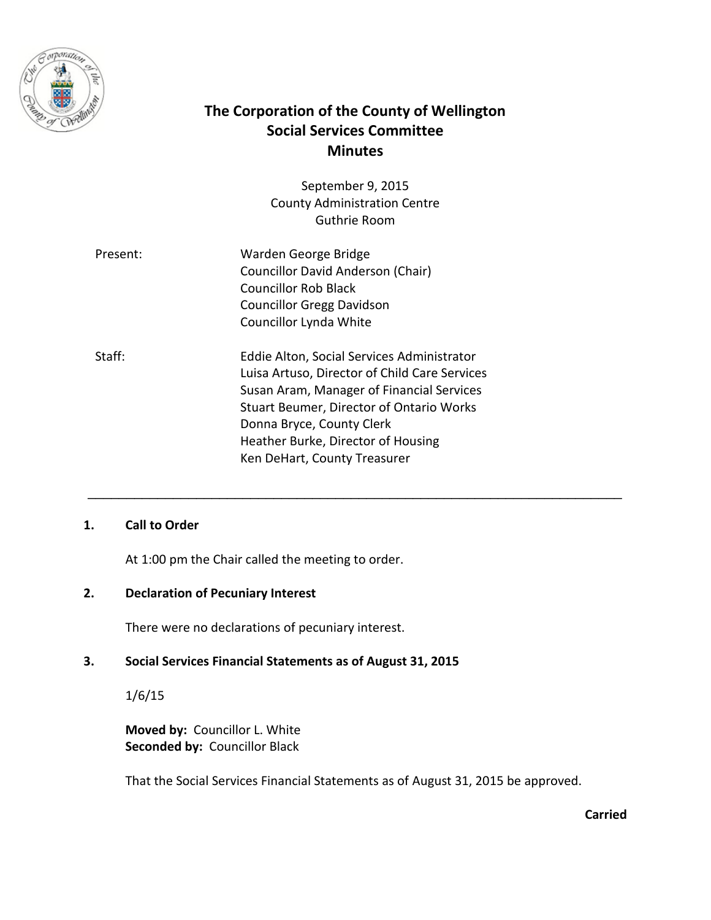

# **The Corporation of the County of Wellington Social Services Committee Minutes**

September 9, 2015 County Administration Centre Guthrie Room

| Warden George Bridge<br>Present:                     |  |
|------------------------------------------------------|--|
| Councillor David Anderson (Chair)                    |  |
| <b>Councillor Rob Black</b>                          |  |
| <b>Councillor Gregg Davidson</b>                     |  |
| Councillor Lynda White                               |  |
| Staff:<br>Eddie Alton, Social Services Administrator |  |
| Luisa Artuso, Director of Child Care Services        |  |
| Susan Aram, Manager of Financial Services            |  |

Susan Aram, Manager of Financial Services Stuart Beumer, Director of Ontario Works Donna Bryce, County Clerk Heather Burke, Director of Housing Ken DeHart, County Treasurer

\_\_\_\_\_\_\_\_\_\_\_\_\_\_\_\_\_\_\_\_\_\_\_\_\_\_\_\_\_\_\_\_\_\_\_\_\_\_\_\_\_\_\_\_\_\_\_\_\_\_\_\_\_\_\_\_\_\_\_\_\_\_\_\_\_\_\_\_\_

#### **1. Call to Order**

At 1:00 pm the Chair called the meeting to order.

#### **2. Declaration of Pecuniary Interest**

There were no declarations of pecuniary interest.

#### **3. Social Services Financial Statements as of August 31, 2015**

1/6/15

**Moved by:** Councillor L. White **Seconded by:** Councillor Black

That the Social Services Financial Statements as of August 31, 2015 be approved.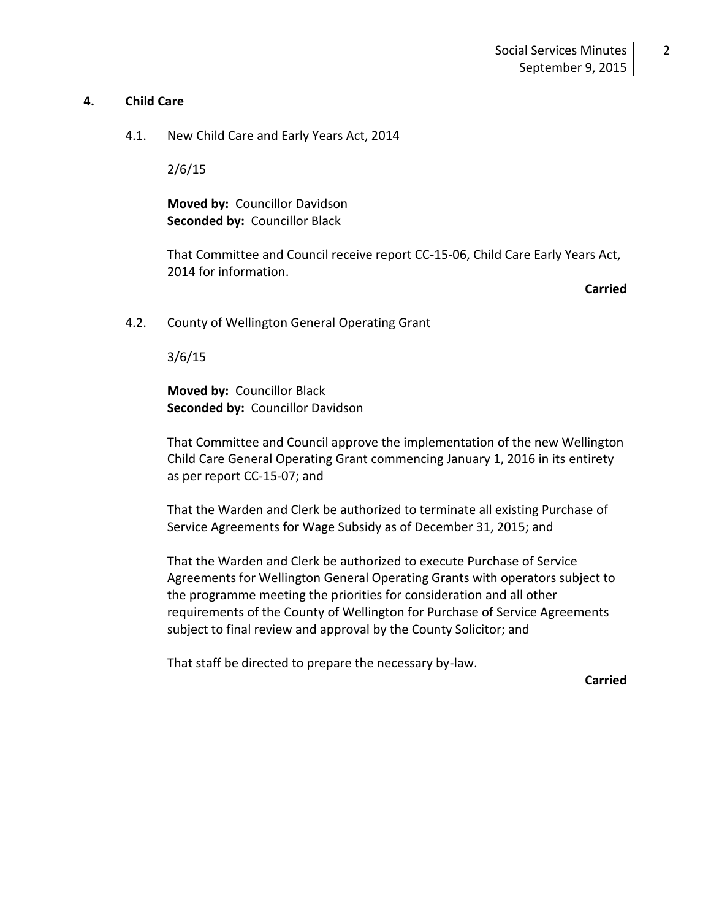#### **4. Child Care**

4.1. New Child Care and Early Years Act, 2014

2/6/15

**Moved by:** Councillor Davidson **Seconded by:** Councillor Black

That Committee and Council receive report CC-15-06, Child Care Early Years Act, 2014 for information.

**Carried**

4.2. County of Wellington General Operating Grant

3/6/15

**Moved by:** Councillor Black **Seconded by:** Councillor Davidson

That Committee and Council approve the implementation of the new Wellington Child Care General Operating Grant commencing January 1, 2016 in its entirety as per report CC-15-07; and

That the Warden and Clerk be authorized to terminate all existing Purchase of Service Agreements for Wage Subsidy as of December 31, 2015; and

That the Warden and Clerk be authorized to execute Purchase of Service Agreements for Wellington General Operating Grants with operators subject to the programme meeting the priorities for consideration and all other requirements of the County of Wellington for Purchase of Service Agreements subject to final review and approval by the County Solicitor; and

That staff be directed to prepare the necessary by-law.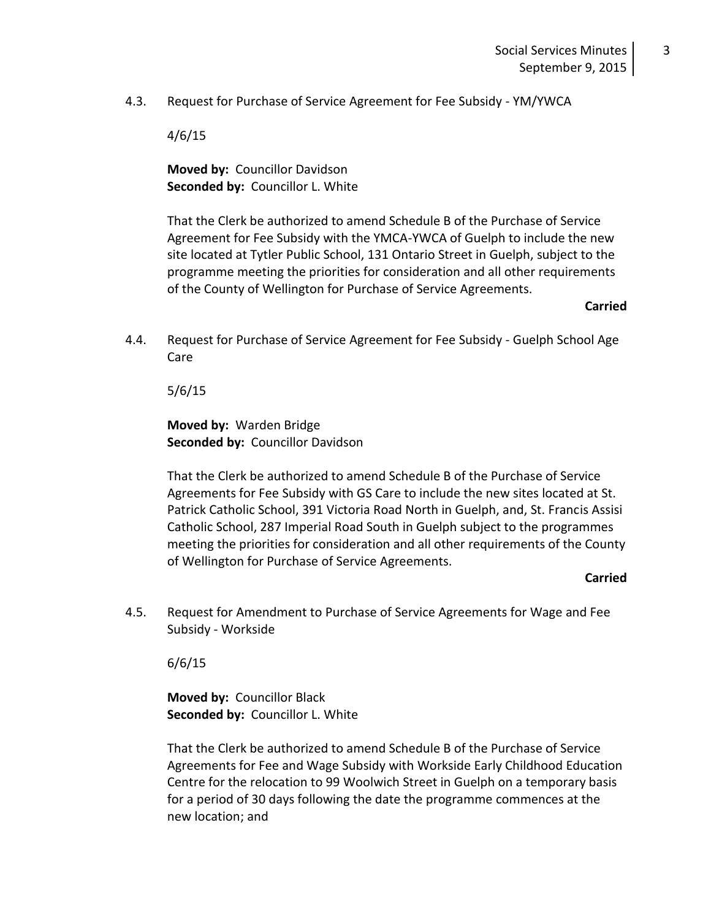4.3. Request for Purchase of Service Agreement for Fee Subsidy - YM/YWCA

4/6/15

**Moved by:** Councillor Davidson **Seconded by:** Councillor L. White

That the Clerk be authorized to amend Schedule B of the Purchase of Service Agreement for Fee Subsidy with the YMCA-YWCA of Guelph to include the new site located at Tytler Public School, 131 Ontario Street in Guelph, subject to the programme meeting the priorities for consideration and all other requirements of the County of Wellington for Purchase of Service Agreements.

**Carried**

4.4. Request for Purchase of Service Agreement for Fee Subsidy - Guelph School Age Care

5/6/15

**Moved by:** Warden Bridge **Seconded by:** Councillor Davidson

That the Clerk be authorized to amend Schedule B of the Purchase of Service Agreements for Fee Subsidy with GS Care to include the new sites located at St. Patrick Catholic School, 391 Victoria Road North in Guelph, and, St. Francis Assisi Catholic School, 287 Imperial Road South in Guelph subject to the programmes meeting the priorities for consideration and all other requirements of the County of Wellington for Purchase of Service Agreements.

#### **Carried**

4.5. Request for Amendment to Purchase of Service Agreements for Wage and Fee Subsidy - Workside

6/6/15

**Moved by:** Councillor Black **Seconded by:** Councillor L. White

That the Clerk be authorized to amend Schedule B of the Purchase of Service Agreements for Fee and Wage Subsidy with Workside Early Childhood Education Centre for the relocation to 99 Woolwich Street in Guelph on a temporary basis for a period of 30 days following the date the programme commences at the new location; and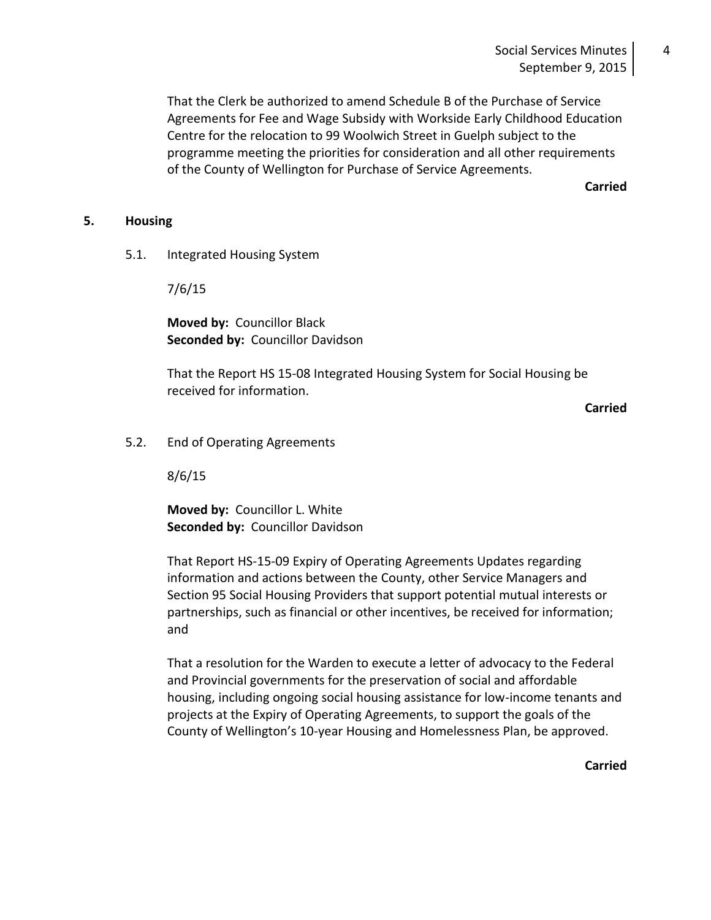#### Social Services Minutes September 9, 2015

That the Clerk be authorized to amend Schedule B of the Purchase of Service Agreements for Fee and Wage Subsidy with Workside Early Childhood Education Centre for the relocation to 99 Woolwich Street in Guelph subject to the programme meeting the priorities for consideration and all other requirements of the County of Wellington for Purchase of Service Agreements.

**Carried**

#### **5. Housing**

5.1. Integrated Housing System

7/6/15

**Moved by:** Councillor Black **Seconded by:** Councillor Davidson

That the Report HS 15-08 Integrated Housing System for Social Housing be received for information.

**Carried**

5.2. End of Operating Agreements

8/6/15

**Moved by:** Councillor L. White **Seconded by:** Councillor Davidson

That Report HS-15-09 Expiry of Operating Agreements Updates regarding information and actions between the County, other Service Managers and Section 95 Social Housing Providers that support potential mutual interests or partnerships, such as financial or other incentives, be received for information; and

That a resolution for the Warden to execute a letter of advocacy to the Federal and Provincial governments for the preservation of social and affordable housing, including ongoing social housing assistance for low-income tenants and projects at the Expiry of Operating Agreements, to support the goals of the County of Wellington's 10-year Housing and Homelessness Plan, be approved.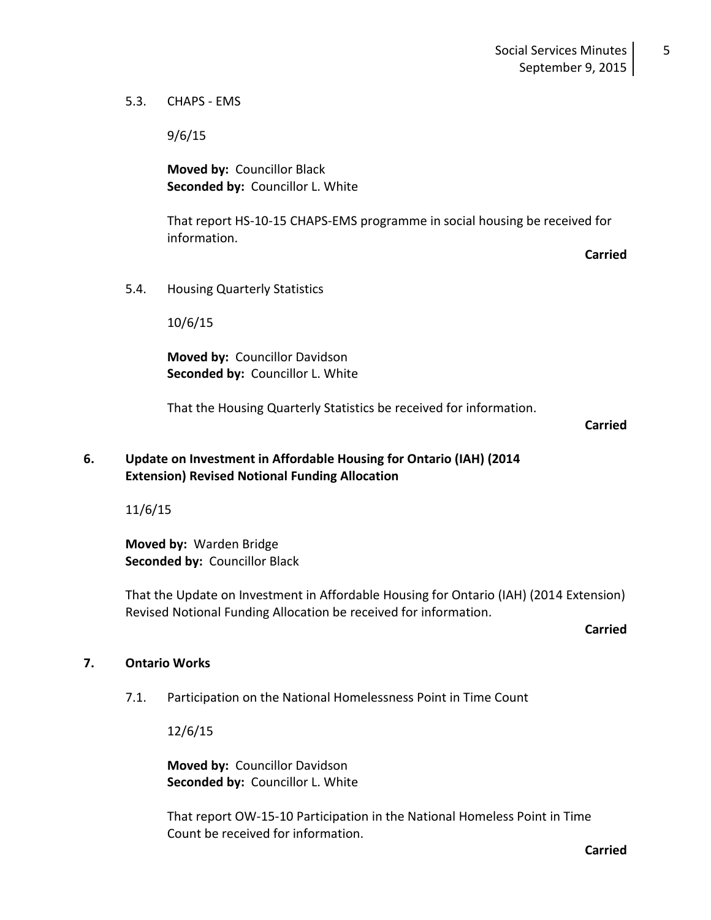5

5.3. CHAPS - EMS

9/6/15

**Moved by:** Councillor Black **Seconded by:** Councillor L. White

That report HS-10-15 CHAPS-EMS programme in social housing be received for information.

**Carried**

5.4. Housing Quarterly Statistics

10/6/15

**Moved by:** Councillor Davidson **Seconded by:** Councillor L. White

That the Housing Quarterly Statistics be received for information.

#### **Carried**

#### **6. Update on Investment in Affordable Housing for Ontario (IAH) (2014 Extension) Revised Notional Funding Allocation**

11/6/15

**Moved by:** Warden Bridge **Seconded by:** Councillor Black

That the Update on Investment in Affordable Housing for Ontario (IAH) (2014 Extension) Revised Notional Funding Allocation be received for information.

**Carried**

#### **7. Ontario Works**

7.1. Participation on the National Homelessness Point in Time Count

12/6/15

**Moved by:** Councillor Davidson **Seconded by:** Councillor L. White

That report OW-15-10 Participation in the National Homeless Point in Time Count be received for information.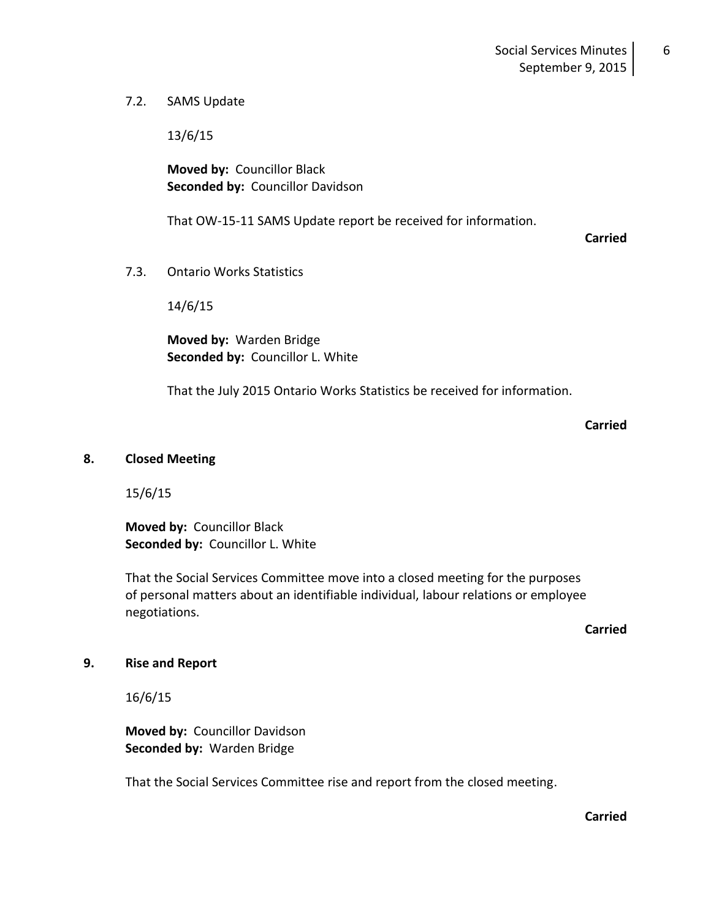#### 7.2. SAMS Update

13/6/15

**Moved by:** Councillor Black **Seconded by:** Councillor Davidson

That OW-15-11 SAMS Update report be received for information.

**Carried**

6

7.3. Ontario Works Statistics

14/6/15

**Moved by:** Warden Bridge **Seconded by:** Councillor L. White

That the July 2015 Ontario Works Statistics be received for information.

**Carried**

#### **8. Closed Meeting**

15/6/15

**Moved by:** Councillor Black **Seconded by:** Councillor L. White

That the Social Services Committee move into a closed meeting for the purposes of personal matters about an identifiable individual, labour relations or employee negotiations.

**Carried**

#### **9. Rise and Report**

16/6/15

**Moved by:** Councillor Davidson **Seconded by:** Warden Bridge

That the Social Services Committee rise and report from the closed meeting.